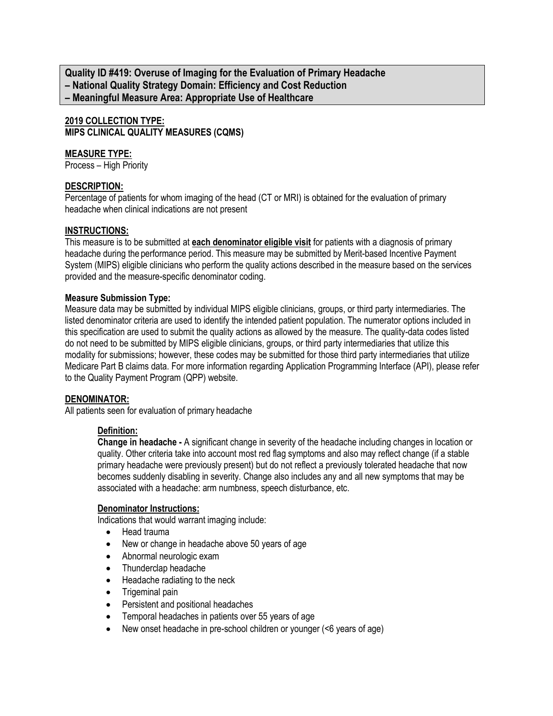**Quality ID #419: Overuse of Imaging for the Evaluation of Primary Headache – National Quality Strategy Domain: Efficiency and Cost Reduction – Meaningful Measure Area: Appropriate Use of Healthcare**

**2019 COLLECTION TYPE: MIPS CLINICAL QUALITY MEASURES (CQMS)**

# **MEASURE TYPE:**

Process – High Priority

### **DESCRIPTION:**

Percentage of patients for whom imaging of the head (CT or MRI) is obtained for the evaluation of primary headache when clinical indications are not present

#### **INSTRUCTIONS:**

This measure is to be submitted at **each denominator eligible visit** for patients with a diagnosis of primary headache during the performance period. This measure may be submitted by Merit-based Incentive Payment System (MIPS) eligible clinicians who perform the quality actions described in the measure based on the services provided and the measure-specific denominator coding.

#### **Measure Submission Type:**

Measure data may be submitted by individual MIPS eligible clinicians, groups, or third party intermediaries. The listed denominator criteria are used to identify the intended patient population. The numerator options included in this specification are used to submit the quality actions as allowed by the measure. The quality-data codes listed do not need to be submitted by MIPS eligible clinicians, groups, or third party intermediaries that utilize this modality for submissions; however, these codes may be submitted for those third party intermediaries that utilize Medicare Part B claims data. For more information regarding Application Programming Interface (API), please refer to the Quality Payment Program (QPP) website.

#### **DENOMINATOR:**

All patients seen for evaluation of primary headache

### **Definition:**

**Change in headache -** A significant change in severity of the headache including changes in location or quality. Other criteria take into account most red flag symptoms and also may reflect change (if a stable primary headache were previously present) but do not reflect a previously tolerated headache that now becomes suddenly disabling in severity. Change also includes any and all new symptoms that may be associated with a headache: arm numbness, speech disturbance, etc.

#### **Denominator Instructions:**

Indications that would warrant imaging include:

- Head trauma
- New or change in headache above 50 years of age
- Abnormal neurologic exam
- Thunderclap headache
- Headache radiating to the neck
- Trigeminal pain
- Persistent and positional headaches
- Temporal headaches in patients over 55 years of age
- New onset headache in pre-school children or younger (<6 years of age)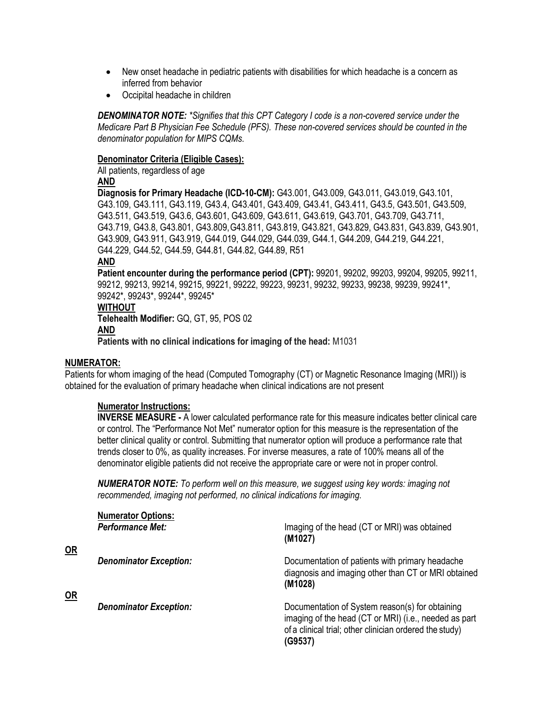- New onset headache in pediatric patients with disabilities for which headache is a concern as inferred from behavior
- Occipital headache in children

*DENOMINATOR NOTE: \*Signifies that this CPT Category I code is a non-covered service under the Medicare Part B Physician Fee Schedule (PFS). These non-covered services should be counted in the denominator population for MIPS CQMs.*

#### **Denominator Criteria (Eligible Cases):**

All patients, regardless of age

**AND**

**Diagnosis for Primary Headache (ICD-10-CM):** G43.001, G43.009, G43.011, G43.019,G43.101, G43.109, G43.111, G43.119, G43.4, G43.401, G43.409, G43.41, G43.411, G43.5, G43.501, G43.509, G43.511, G43.519, G43.6, G43.601, G43.609, G43.611, G43.619, G43.701, G43.709, G43.711, G43.719, G43.8, G43.801, G43.809,G43.811, G43.819, G43.821, G43.829, G43.831, G43.839, G43.901, G43.909, G43.911, G43.919, G44.019, G44.029, G44.039, G44.1, G44.209, G44.219, G44.221, G44.229, G44.52, G44.59, G44.81, G44.82, G44.89, R51

#### **AND**

**Patient encounter during the performance period (CPT):** 99201, 99202, 99203, 99204, 99205, 99211, 99212, 99213, 99214, 99215, 99221, 99222, 99223, 99231, 99232, 99233, 99238, 99239, 99241\*, 99242\*, 99243\*, 99244\*, 99245\* **WITHOUT Telehealth Modifier:** GQ, GT, 95, POS 02 **AND**

**Patients with no clinical indications for imaging of the head:** M1031

### **NUMERATOR:**

**OR**

**OR**

Patients for whom imaging of the head (Computed Tomography (CT) or Magnetic Resonance Imaging (MRI)) is obtained for the evaluation of primary headache when clinical indications are not present

### **Numerator Instructions:**

**INVERSE MEASURE -** A lower calculated performance rate for this measure indicates better clinical care or control. The "Performance Not Met" numerator option for this measure is the representation of the better clinical quality or control. Submitting that numerator option will produce a performance rate that trends closer to 0%, as quality increases. For inverse measures, a rate of 100% means all of the denominator eligible patients did not receive the appropriate care or were not in proper control.

*NUMERATOR NOTE: To perform well on this measure, we suggest using key words: imaging not recommended, imaging not performed, no clinical indications for imaging.*

| <b>Numerator Options:</b><br><b>Performance Met:</b> | Imaging of the head (CT or MRI) was obtained<br>(M1027)                                                                                                                        |
|------------------------------------------------------|--------------------------------------------------------------------------------------------------------------------------------------------------------------------------------|
| <b>Denominator Exception:</b>                        | Documentation of patients with primary headache<br>diagnosis and imaging other than CT or MRI obtained<br>(M1028)                                                              |
| <b>Denominator Exception:</b>                        | Documentation of System reason(s) for obtaining<br>imaging of the head (CT or MRI) (i.e., needed as part<br>of a clinical trial; other clinician ordered the study)<br>(G9537) |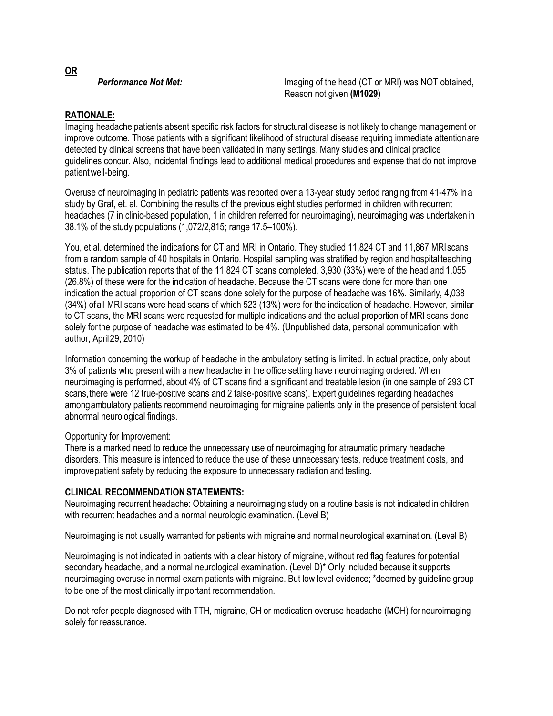**Performance Not Met:** Imaging of the head (CT or MRI) was NOT obtained, Reason not given **(M1029)**

# **RATIONALE:**

Imaging headache patients absent specific risk factors for structural disease is not likely to change management or improve outcome. Those patients with a significant likelihood of structural disease requiring immediate attentionare detected by clinical screens that have been validated in many settings. Many studies and clinical practice guidelines concur. Also, incidental findings lead to additional medical procedures and expense that do not improve patientwell-being.

Overuse of neuroimaging in pediatric patients was reported over a 13-year study period ranging from 41-47% ina study by Graf, et. al. Combining the results of the previous eight studies performed in children with recurrent headaches (7 in clinic-based population, 1 in children referred for neuroimaging), neuroimaging was undertakenin 38.1% of the study populations (1,072/2,815; range 17.5–100%).

You, et al. determined the indications for CT and MRI in Ontario. They studied 11,824 CT and 11,867 MRIscans from a random sample of 40 hospitals in Ontario. Hospital sampling was stratified by region and hospital teaching status. The publication reports that of the 11,824 CT scans completed, 3,930 (33%) were of the head and 1,055 (26.8%) of these were for the indication of headache. Because the CT scans were done for more than one indication the actual proportion of CT scans done solely for the purpose of headache was 16%. Similarly, 4,038 (34%) ofall MRI scans were head scans of which 523 (13%) were for the indication of headache. However, similar to CT scans, the MRI scans were requested for multiple indications and the actual proportion of MRI scans done solely forthe purpose of headache was estimated to be 4%. (Unpublished data, personal communication with author, April29, 2010)

Information concerning the workup of headache in the ambulatory setting is limited. In actual practice, only about 3% of patients who present with a new headache in the office setting have neuroimaging ordered. When neuroimaging is performed, about 4% of CT scans find a significant and treatable lesion (in one sample of 293 CT scans,there were 12 true-positive scans and 2 false-positive scans). Expert guidelines regarding headaches amongambulatory patients recommend neuroimaging for migraine patients only in the presence of persistent focal abnormal neurological findings.

# Opportunity for Improvement:

There is a marked need to reduce the unnecessary use of neuroimaging for atraumatic primary headache disorders. This measure is intended to reduce the use of these unnecessary tests, reduce treatment costs, and improvepatient safety by reducing the exposure to unnecessary radiation and testing.

# **CLINICAL RECOMMENDATION STATEMENTS:**

Neuroimaging recurrent headache: Obtaining a neuroimaging study on a routine basis is not indicated in children with recurrent headaches and a normal neurologic examination. (Level B)

Neuroimaging is not usually warranted for patients with migraine and normal neurological examination. (Level B)

Neuroimaging is not indicated in patients with a clear history of migraine, without red flag features for potential secondary headache, and a normal neurological examination. (Level D)\* Only included because it supports neuroimaging overuse in normal exam patients with migraine. But low level evidence; \*deemed by guideline group to be one of the most clinically important recommendation.

Do not refer people diagnosed with TTH, migraine, CH or medication overuse headache (MOH) forneuroimaging solely for reassurance.

**OR**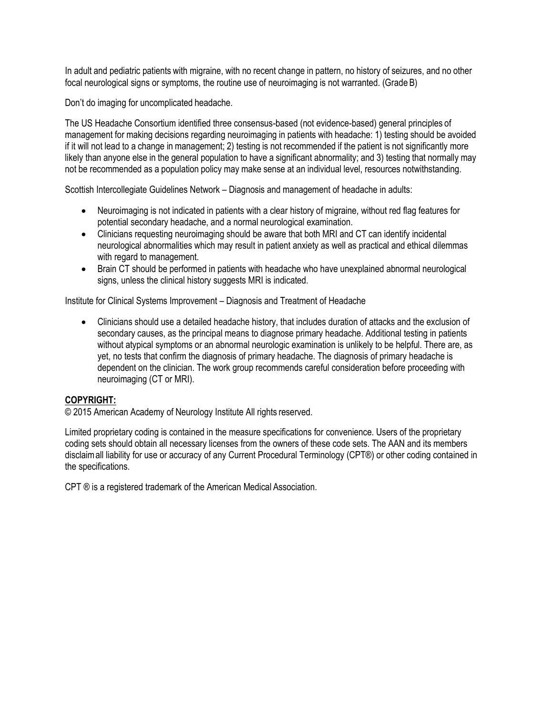In adult and pediatric patients with migraine, with no recent change in pattern, no history of seizures, and no other focal neurological signs or symptoms, the routine use of neuroimaging is not warranted. (Grade B)

Don't do imaging for uncomplicated headache.

The US Headache Consortium identified three consensus-based (not evidence-based) general principles of management for making decisions regarding neuroimaging in patients with headache: 1) testing should be avoided if it will not lead to a change in management; 2) testing is not recommended if the patient is not significantly more likely than anyone else in the general population to have a significant abnormality; and 3) testing that normally may not be recommended as a population policy may make sense at an individual level, resources notwithstanding.

Scottish Intercollegiate Guidelines Network – Diagnosis and management of headache in adults:

- Neuroimaging is not indicated in patients with a clear history of migraine, without red flag features for potential secondary headache, and a normal neurological examination.
- Clinicians requesting neuroimaging should be aware that both MRI and CT can identify incidental neurological abnormalities which may result in patient anxiety as well as practical and ethical dilemmas with regard to management.
- Brain CT should be performed in patients with headache who have unexplained abnormal neurological signs, unless the clinical history suggests MRI is indicated.

Institute for Clinical Systems Improvement – Diagnosis and Treatment of Headache

• Clinicians should use a detailed headache history, that includes duration of attacks and the exclusion of secondary causes, as the principal means to diagnose primary headache. Additional testing in patients without atypical symptoms or an abnormal neurologic examination is unlikely to be helpful. There are, as yet, no tests that confirm the diagnosis of primary headache. The diagnosis of primary headache is dependent on the clinician. The work group recommends careful consideration before proceeding with neuroimaging (CT or MRI).

# **COPYRIGHT:**

© 2015 American Academy of Neurology Institute All rights reserved.

Limited proprietary coding is contained in the measure specifications for convenience. Users of the proprietary coding sets should obtain all necessary licenses from the owners of these code sets. The AAN and its members disclaimall liability for use or accuracy of any Current Procedural Terminology (CPT®) or other coding contained in the specifications.

CPT ® is a registered trademark of the American Medical Association.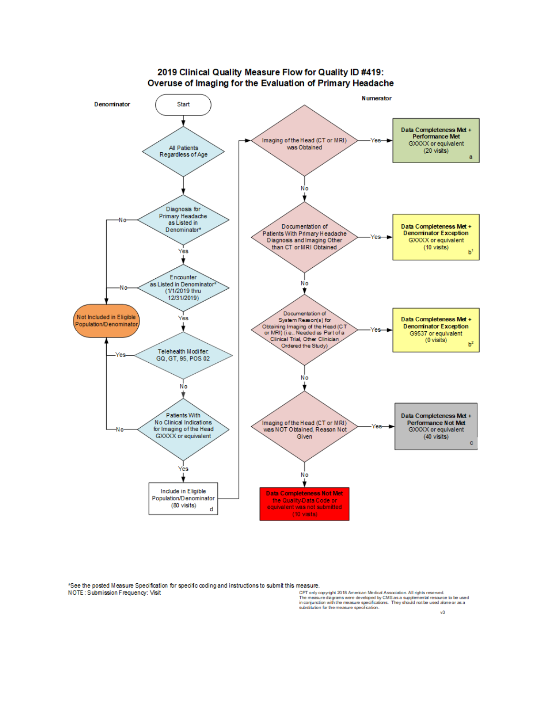

\*See the posted Measure Specification for specific coding and instructions to submit this measure. NOTE: Submission Frequency: Visit

CPT only copyright 2018 American Medical Association. All rights reserved.<br>The measure diagrams were developed by CMS as a supplemental resource to be used<br>in conjunction with the measure specifications. They should not be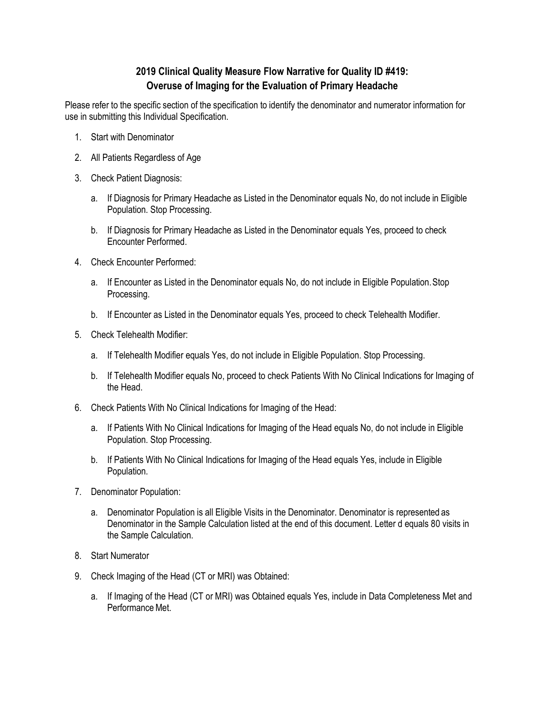# **2019 Clinical Quality Measure Flow Narrative for Quality ID #419: Overuse of Imaging for the Evaluation of Primary Headache**

Please refer to the specific section of the specification to identify the denominator and numerator information for use in submitting this Individual Specification.

- 1. Start with Denominator
- 2. All Patients Regardless of Age
- 3. Check Patient Diagnosis:
	- a. If Diagnosis for Primary Headache as Listed in the Denominator equals No, do not include in Eligible Population. Stop Processing.
	- b. If Diagnosis for Primary Headache as Listed in the Denominator equals Yes, proceed to check Encounter Performed.
- 4. Check Encounter Performed:
	- a. If Encounter as Listed in the Denominator equals No, do not include in Eligible Population.Stop Processing.
	- b. If Encounter as Listed in the Denominator equals Yes, proceed to check Telehealth Modifier.
- 5. Check Telehealth Modifier:
	- a. If Telehealth Modifier equals Yes, do not include in Eligible Population. Stop Processing.
	- b. If Telehealth Modifier equals No, proceed to check Patients With No Clinical Indications for Imaging of the Head.
- 6. Check Patients With No Clinical Indications for Imaging of the Head:
	- a. If Patients With No Clinical Indications for Imaging of the Head equals No, do not include in Eligible Population. Stop Processing.
	- b. If Patients With No Clinical Indications for Imaging of the Head equals Yes, include in Eligible Population.
- 7. Denominator Population:
	- a. Denominator Population is all Eligible Visits in the Denominator. Denominator is represented as Denominator in the Sample Calculation listed at the end of this document. Letter d equals 80 visits in the Sample Calculation.
- 8. Start Numerator
- 9. Check Imaging of the Head (CT or MRI) was Obtained:
	- a. If Imaging of the Head (CT or MRI) was Obtained equals Yes, include in Data Completeness Met and Performance Met.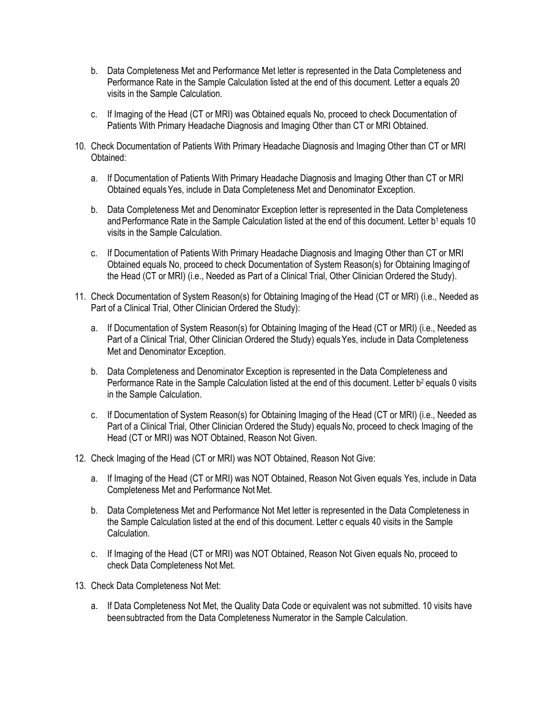- b. Data Completeness Met and Performance Met letter is represented in the Data Completeness and Performance Rate in the Sample Calculation listed at the end of this document. Letter a equals 20 visits in the Sample Calculation.
- c. If Imaging of the Head (CT or MRI) was Obtained equals No, proceed to check Documentation of Patients With Primary Headache Diagnosis and Imaging Other than CT or MRI Obtained.
- 10. Check Documentation of Patients With Primary Headache Diagnosis and Imaging Other than CT or MRI Obtained:
	- a. If Documentation of Patients With Primary Headache Diagnosis and Imaging Other than CT or MRI Obtained equalsYes, include in Data Completeness Met and Denominator Exception.
	- b. Data Completeness Met and Denominator Exception letter is represented in the Data Completeness and Performance Rate in the Sample Calculation listed at the end of this document. Letter b<sup>1</sup> equals 10 visits in the Sample Calculation.
	- c. If Documentation of Patients With Primary Headache Diagnosis and Imaging Other than CT or MRI Obtained equals No, proceed to check Documentation of System Reason(s) for Obtaining Imaging of the Head (CT or MRI) (i.e., Needed as Part of a Clinical Trial, Other Clinician Ordered the Study).
- 11. Check Documentation of System Reason(s) for Obtaining Imaging of the Head (CT or MRI) (i.e., Needed as Part of a Clinical Trial, Other Clinician Ordered the Study):
	- a. If Documentation of System Reason(s) for Obtaining Imaging of the Head (CT or MRI) (i.e., Needed as Part of a Clinical Trial, Other Clinician Ordered the Study) equals Yes, include in Data Completeness Met and Denominator Exception.
	- b. Data Completeness and Denominator Exception is represented in the Data Completeness and Performance Rate in the Sample Calculation listed at the end of this document. Letter b<sup>2</sup> equals 0 visits in the Sample Calculation.
	- c. If Documentation of System Reason(s) for Obtaining Imaging of the Head (CT or MRI) (i.e., Needed as Part of a Clinical Trial, Other Clinician Ordered the Study) equals No, proceed to check Imaging of the Head (CT or MRI) was NOT Obtained, Reason Not Given.
- 12. Check Imaging of the Head (CT or MRI) was NOT Obtained, Reason Not Give:
	- a. If Imaging of the Head (CT or MRI) was NOT Obtained, Reason Not Given equals Yes, include in Data Completeness Met and Performance Not Met.
	- b. Data Completeness Met and Performance Not Met letter is represented in the Data Completeness in the Sample Calculation listed at the end of this document. Letter c equals 40 visits in the Sample Calculation.
	- c. If Imaging of the Head (CT or MRI) was NOT Obtained, Reason Not Given equals No, proceed to check Data Completeness Not Met.
- 13. Check Data Completeness Not Met:
	- a. If Data Completeness Not Met, the Quality Data Code or equivalent was not submitted. 10 visits have beensubtracted from the Data Completeness Numerator in the Sample Calculation.